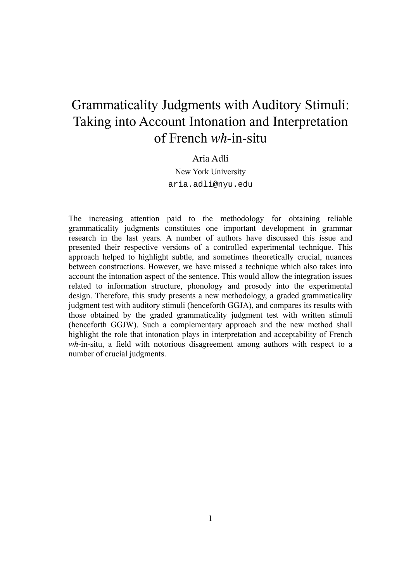## Grammaticality Judgments with Auditory Stimuli: Taking into Account Intonation and Interpretation of French *wh*-in-situ

## Aria Adli

New York University aria.adli@nyu.edu

The increasing attention paid to the methodology for obtaining reliable grammaticality judgments constitutes one important development in grammar research in the last years. A number of authors have discussed this issue and presented their respective versions of a controlled experimental technique. This approach helped to highlight subtle, and sometimes theoretically crucial, nuances between constructions. However, we have missed a technique which also takes into account the intonation aspect of the sentence. This would allow the integration issues related to information structure, phonology and prosody into the experimental design. Therefore, this study presents a new methodology, a graded grammaticality judgment test with auditory stimuli (henceforth GGJA), and compares its results with those obtained by the graded grammaticality judgment test with written stimuli (henceforth GGJW). Such a complementary approach and the new method shall highlight the role that intonation plays in interpretation and acceptability of French *wh*-in-situ, a field with notorious disagreement among authors with respect to a number of crucial judgments.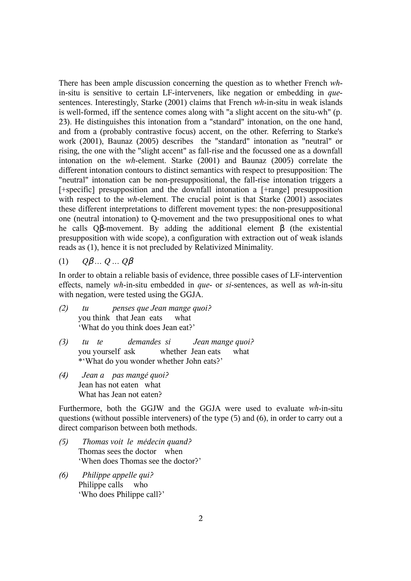There has been ample discussion concerning the question as to whether French *wh*in-situ is sensitive to certain LF-interveners, like negation or embedding in *que*sentences. Interestingly, Starke (2001) claims that French *wh*-in-situ in weak islands is well-formed, iff the sentence comes along with "a slight accent on the situ-wh" (p. 23). He distinguishes this intonation from a "standard" intonation, on the one hand, and from a (probably contrastive focus) accent, on the other. Referring to Starke's work (2001), Baunaz (2005) describes the "standard" intonation as "neutral" or rising, the one with the "slight accent" as fall-rise and the focussed one as a downfall intonation on the *wh*-element. Starke (2001) and Baunaz (2005) correlate the different intonation contours to distinct semantics with respect to presupposition: The "neutral" intonation can be non-presuppositional, the fall-rise intonation triggers a [+specific] presupposition and the downfall intonation a [+range] presupposition with respect to the *wh*-element. The crucial point is that Starke (2001) associates these different interpretations to different movement types: the non-presuppositional one (neutral intonation) to Q-movement and the two presuppositional ones to what he calls Qβ-movement. By adding the additional element β (the existential presupposition with wide scope), a configuration with extraction out of weak islands reads as (1), hence it is not precluded by Relativized Minimality.

(1) *Q*β *… Q … Q*β

In order to obtain a reliable basis of evidence, three possible cases of LF-intervention effects, namely *wh*-in-situ embedded in *que*- or *si*-sentences, as well as *wh*-in-situ with negation, were tested using the GGJA.

- *(2) tu penses que Jean mange quoi?* you think that Jean eats what 'What do you think does Jean eat?'
- *(3) tu te demandes si Jean mange quoi?* you yourself ask whether Jean eats what \*'What do you wonder whether John eats?'
- *(4) Jean a pas mangé quoi?* Jean has not eaten what What has Jean not eaten?

Furthermore, both the GGJW and the GGJA were used to evaluate *wh*-in-situ questions (without possible interveners) of the type (5) and (6), in order to carry out a direct comparison between both methods.

- *(5) Thomas voit le médecin quand?* Thomas sees the doctor when 'When does Thomas see the doctor?'
- *(6) Philippe appelle qui?* Philippe calls who 'Who does Philippe call?'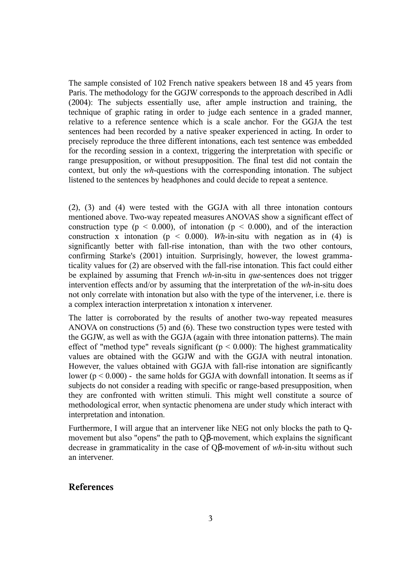The sample consisted of 102 French native speakers between 18 and 45 years from Paris. The methodology for the GGJW corresponds to the approach described in Adli (2004): The subjects essentially use, after ample instruction and training, the technique of graphic rating in order to judge each sentence in a graded manner, relative to a reference sentence which is a scale anchor. For the GGJA the test sentences had been recorded by a native speaker experienced in acting. In order to precisely reproduce the three different intonations, each test sentence was embedded for the recording session in a context, triggering the interpretation with specific or range presupposition, or without presupposition. The final test did not contain the context, but only the *wh*-questions with the corresponding intonation. The subject listened to the sentences by headphones and could decide to repeat a sentence.

(2), (3) and (4) were tested with the GGJA with all three intonation contours mentioned above. Two-way repeated measures ANOVAS show a significant effect of construction type ( $p < 0.000$ ), of intonation ( $p < 0.000$ ), and of the interaction construction x intonation ( $p < 0.000$ ). *Wh*-in-situ with negation as in (4) is significantly better with fall-rise intonation, than with the two other contours, confirming Starke's (2001) intuition. Surprisingly, however, the lowest grammaticality values for (2) are observed with the fall-rise intonation. This fact could either be explained by assuming that French *wh*-in-situ in *que*-sentences does not trigger intervention effects and/or by assuming that the interpretation of the *wh*-in-situ does not only correlate with intonation but also with the type of the intervener, i.e. there is a complex interaction interpretation x intonation x intervener.

The latter is corroborated by the results of another two-way repeated measures ANOVA on constructions (5) and (6). These two construction types were tested with the GGJW, as well as with the GGJA (again with three intonation patterns). The main effect of "method type" reveals significant ( $p < 0.000$ ): The highest grammaticality values are obtained with the GGJW and with the GGJA with neutral intonation. However, the values obtained with GGJA with fall-rise intonation are significantly lower ( $p < 0.000$ ) - the same holds for GGJA with downfall intonation. It seems as if subjects do not consider a reading with specific or range-based presupposition, when they are confronted with written stimuli. This might well constitute a source of methodological error, when syntactic phenomena are under study which interact with interpretation and intonation.

Furthermore, I will argue that an intervener like NEG not only blocks the path to Qmovement but also "opens" the path to Qβ-movement, which explains the significant decrease in grammaticality in the case of Qβ-movement of *wh*-in-situ without such an intervener.

## **References**